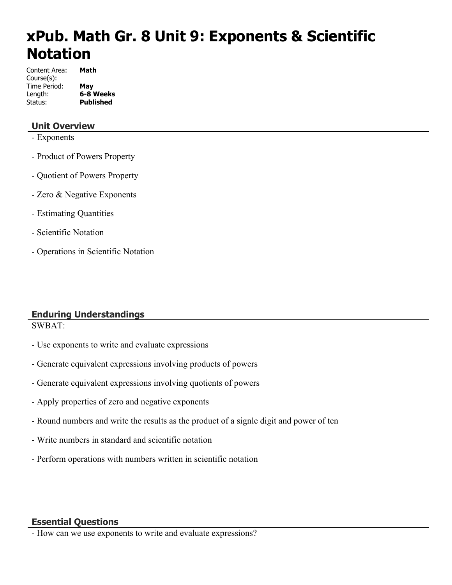# **xPub. Math Gr. 8 Unit 9: Exponents & Scientific Notation**

| Content Area: | Math             |
|---------------|------------------|
| Course(s):    |                  |
| Time Period:  | May              |
| Length:       | 6-8 Weeks        |
| Status:       | <b>Published</b> |

# **Unit Overview**

- Exponents
- Product of Powers Property
- Quotient of Powers Property
- Zero & Negative Exponents
- Estimating Quantities
- Scientific Notation
- Operations in Scientific Notation

# **Enduring Understandings**

SWBAT:

- Use exponents to write and evaluate expressions
- Generate equivalent expressions involving products of powers
- Generate equivalent expressions involving quotients of powers
- Apply properties of zero and negative exponents
- Round numbers and write the results as the product of a signle digit and power of ten
- Write numbers in standard and scientific notation
- Perform operations with numbers written in scientific notation

#### **Essential Questions**

- How can we use exponents to write and evaluate expressions?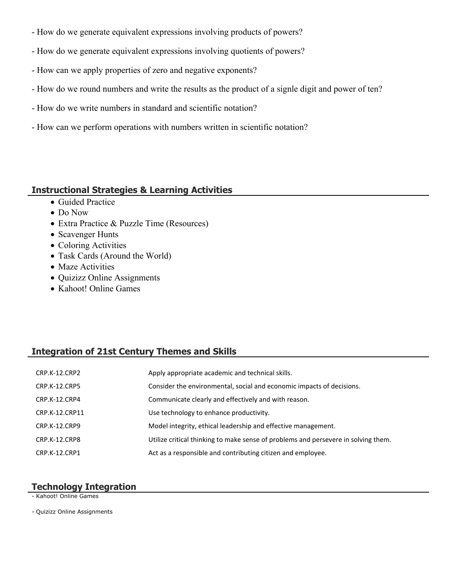- How do we generate equivalent expressions involving products of powers?
- How do we generate equivalent expressions involving quotients of powers?
- How can we apply properties of zero and negative exponents?
- How do we round numbers and write the results as the product of a signle digit and power of ten?
- How do we write numbers in standard and scientific notation?
- How can we perform operations with numbers written in scientific notation?

## **Instructional Strategies & Learning Activities**

- Guided Practice
- Do Now
- Extra Practice & Puzzle Time (Resources)
- Scavenger Hunts
- Coloring Activities
- Task Cards (Around the World)
- Maze Activities
- Quizizz Online Assignments
- Kahoot! Online Games

# **Integration of 21st Century Themes and Skills**

| CRP.K-12.CRP2  | Apply appropriate academic and technical skills.                                   |
|----------------|------------------------------------------------------------------------------------|
| CRP.K-12.CRP5  | Consider the environmental, social and economic impacts of decisions.              |
| CRP.K-12.CRP4  | Communicate clearly and effectively and with reason.                               |
| CRP.K-12.CRP11 | Use technology to enhance productivity.                                            |
| CRP.K-12.CRP9  | Model integrity, ethical leadership and effective management.                      |
| CRP.K-12.CRP8  | Utilize critical thinking to make sense of problems and persevere in solving them. |
| CRP.K-12.CRP1  | Act as a responsible and contributing citizen and employee.                        |

#### **Technology Integration**

- Kahoot! Online Games

- Quizizz Online Assignments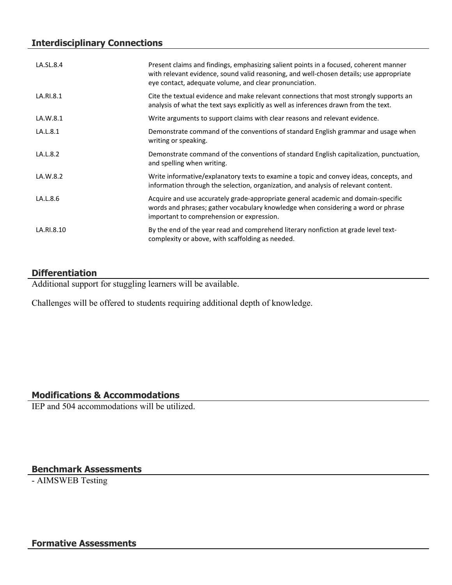# **Interdisciplinary Connections**

| LA.SL.8.4  | Present claims and findings, emphasizing salient points in a focused, coherent manner<br>with relevant evidence, sound valid reasoning, and well-chosen details; use appropriate<br>eye contact, adequate volume, and clear pronunciation. |
|------------|--------------------------------------------------------------------------------------------------------------------------------------------------------------------------------------------------------------------------------------------|
| LA.RI.8.1  | Cite the textual evidence and make relevant connections that most strongly supports an<br>analysis of what the text says explicitly as well as inferences drawn from the text.                                                             |
| LA.W.8.1   | Write arguments to support claims with clear reasons and relevant evidence.                                                                                                                                                                |
| LA.L.8.1   | Demonstrate command of the conventions of standard English grammar and usage when<br>writing or speaking.                                                                                                                                  |
| LA.L.8.2   | Demonstrate command of the conventions of standard English capitalization, punctuation,<br>and spelling when writing.                                                                                                                      |
| LA.W.8.2   | Write informative/explanatory texts to examine a topic and convey ideas, concepts, and<br>information through the selection, organization, and analysis of relevant content.                                                               |
| LA.L.8.6   | Acquire and use accurately grade-appropriate general academic and domain-specific<br>words and phrases; gather vocabulary knowledge when considering a word or phrase<br>important to comprehension or expression.                         |
| LA.RI.8.10 | By the end of the year read and comprehend literary nonfiction at grade level text-<br>complexity or above, with scaffolding as needed.                                                                                                    |

## **Differentiation**

Additional support for stuggling learners will be available.

Challenges will be offered to students requiring additional depth of knowledge.

# **Modifications & Accommodations**

IEP and 504 accommodations will be utilized.

# **Benchmark Assessments**

- AIMSWEB Testing